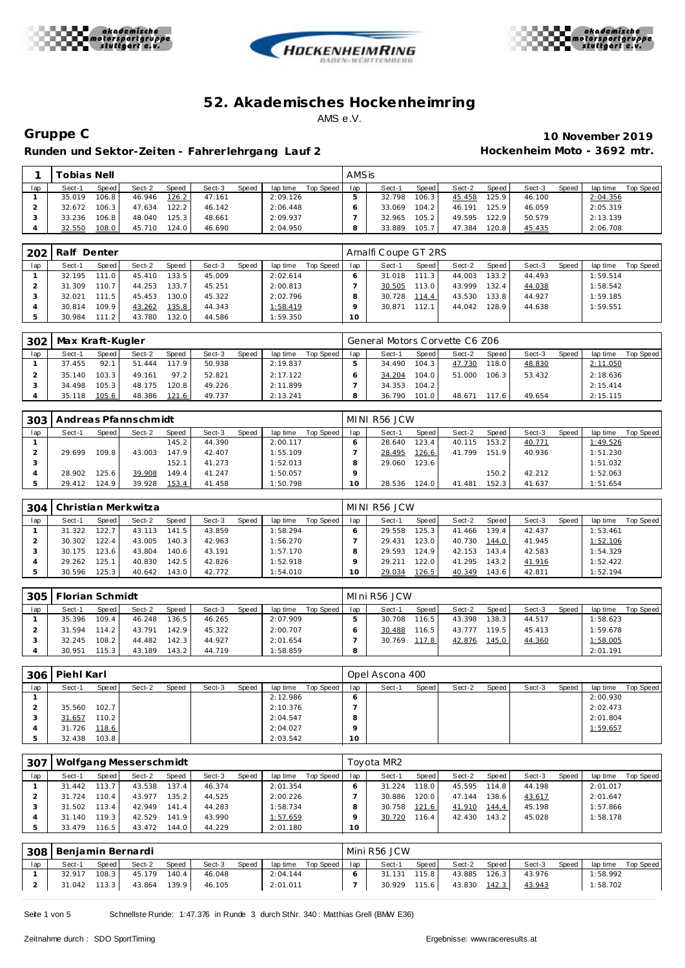





 $\mathsf{r}$ 

Runden und Sektor-Zeiten - Fahrer lehrgang Lauf 2 **Hockenheim Moto - 3692 mtr.** 

**Gruppe C 10 November 2019**

|     | ™obias Nell⊺ |       |        |       |        |       |          |           | AMSis |        |       |        |       |        |              |          |           |
|-----|--------------|-------|--------|-------|--------|-------|----------|-----------|-------|--------|-------|--------|-------|--------|--------------|----------|-----------|
| lap | Sect-1       | Speed | Sect-2 | Speed | Sect-3 | Speed | lap time | Top Speed | lap   | Sect-  | Speed | Sect-2 | Speed | Sect-3 | <b>Speed</b> | lap time | Top Speed |
|     | 35.019       | 106.8 | 46.946 | 126.2 | 47.161 |       | 2:09.126 |           |       | 32.798 | 106.3 | 45.458 | 125.9 | 46.100 |              | 2:04.356 |           |
|     | 32.672       | 106.3 | 47.634 | 122.2 | 46.142 |       | 2:06.448 |           |       | 33.069 | 104.2 | 46.191 | 125.9 | 46.059 |              | 2:05.319 |           |
|     | 33.236       | 106.8 | 48.040 | 125.3 | 48.661 |       | 2:09.937 |           |       | 32.965 | 105.2 | 49.595 | 122.9 | 50.579 |              | 2:13.139 |           |
|     | 32.550       | 108.0 | 45.710 | 124.0 | 46.690 |       | 2:04.950 |           |       | 33.889 | 105.7 | 47.384 | 120.8 | 45.435 |              | 2:06.708 |           |

| 202 | Ralf Denter |       |        |                    |        |       |          |           |                 | Amalfi Coupe GT 2RS |       |        |       |        |       |          |           |
|-----|-------------|-------|--------|--------------------|--------|-------|----------|-----------|-----------------|---------------------|-------|--------|-------|--------|-------|----------|-----------|
| lap | Sect-1      | Speed | Sect-2 | <b>Speed</b>       | Sect-3 | Speed | lap time | Top Speed | lap             | Sect-1              | Speed | Sect-2 | Speed | Sect-3 | Speed | lap time | Top Speed |
|     | 32.195      | 111.0 | 45.410 | 133.5              | 45.009 |       | 2:02.614 |           |                 | 31.018              | 111.3 | 44.003 | 133.2 | 44.493 |       | 1:59.514 |           |
|     | 31.309      | 110.7 | 44.253 | 133.7              | 45.251 |       | 2:00.813 |           |                 | 30.505              | 113.0 | 43.999 | 132.4 | 44.038 |       | 1:58.542 |           |
|     | 32.021      | 111.5 | 45.453 | 130.0              | 45.322 |       | 2:02.796 |           |                 | 30.728              | 114.4 | 43.530 | 133.8 | 44.927 |       | 1:59.185 |           |
|     | 30.814      | 109.9 | 43.262 | 135.8              | 44.343 |       | 1:58.419 |           |                 | 30.871              | 112.1 | 44.042 | 128.9 | 44.638 |       | 1:59.551 |           |
|     | 30.984      | 111.2 | 43.780 | 132.0 <sub>1</sub> | 44.586 |       | 1:59.350 |           | 10 <sup>°</sup> |                     |       |        |       |        |       |          |           |

| 302 | Max Kraft-Kugler |       |        |       |        |       |          |           |     | General Motors Corvette C6 Z06 |       |        |       |        |       |          |           |
|-----|------------------|-------|--------|-------|--------|-------|----------|-----------|-----|--------------------------------|-------|--------|-------|--------|-------|----------|-----------|
| lap | Sect-1           | Speed | Sect-2 | Speed | Sect-3 | Speed | lap time | Top Speed | lap | Sect-1                         | Speed | Sect-2 | Speed | Sect-3 | Speed | lap time | Top Speed |
|     | 37.455           | 92.1  | 51.444 | 117.9 | 50.938 |       | 2:19.837 |           |     | 34.490                         | 104.3 | 47.730 | 118.0 | 48.830 |       | 2:11.050 |           |
|     | 35.140           | 103.3 | 49.161 | 97.2  | 52.821 |       | 2:17.122 |           |     | 34.204                         | 104.0 | 51.000 | 106.3 | 53.432 |       | 2:18.636 |           |
|     | 34.498           | 105.3 | 48.175 | 120.8 | 49.226 |       | 2:11.899 |           |     | 34.353                         | 104.2 |        |       |        |       | 2:15.414 |           |
|     | 35.118           | 105.6 | 48.386 | 121.6 | 49.737 |       | 2:13.241 |           |     | 36.790                         | 101.0 | 48.671 | 176   | 49.654 |       | 2:15.115 |           |

| 303 |        |       | Andreas Pfannschmidt |                    |        |       |          |           |           | MINI R56 JCW |        |        |        |        |       |          |           |
|-----|--------|-------|----------------------|--------------------|--------|-------|----------|-----------|-----------|--------------|--------|--------|--------|--------|-------|----------|-----------|
| lap | Sect-1 | Speed | Sect-2               | Speed              | Sect-3 | Speed | lap time | Top Speed | lap       | Sect-1       | Speed  | Sect-2 | Speed  | Sect-3 | Speed | lap time | Top Speed |
|     |        |       |                      | 145.2 <sub>1</sub> | 44.390 |       | 2:00.117 |           |           | 28.640       | 123.4  | 40.115 | 153.2  | 40.771 |       | 1:49.526 |           |
|     | 29.699 | 109.8 | 43.003               | 147.9              | 42.407 |       | 1:55.109 |           |           | 28.495       | 126.6  | 41.799 | 151.9  | 40.936 |       | 1:51.230 |           |
|     |        |       |                      | 152.1              | 41.273 |       | 1:52.013 |           |           | 29.060       | 123.6  |        |        |        |       | 1:51.032 |           |
|     | 28.902 | 125.6 | 39.908               | 149.4              | 41.247 |       | 1:50.057 |           |           |              |        |        | 150.2  | 42.212 |       | 1:52.063 |           |
|     | 29.412 | 124.9 | 39.928               | 153.4              | 41.458 |       | 1:50.798 |           | $10^{-1}$ | 28.536       | 124.01 | 41.481 | 152.31 | 41.637 |       | 1:51.654 |           |

| 304 |        |              | Christian Merkwitza |       |        |       |          |           |     | MINI R56 JCW |        |        |       |        |              |          |           |
|-----|--------|--------------|---------------------|-------|--------|-------|----------|-----------|-----|--------------|--------|--------|-------|--------|--------------|----------|-----------|
| lap | Sect-1 | <b>Speed</b> | Sect-2              | Speed | Sect-3 | Speed | lap time | Top Speed | lap | Sect-1       | Speed  | Sect-2 | Speed | Sect-3 | <b>Speed</b> | lap time | Top Speed |
|     | 31.322 | 122.7        | 43.113              | 141.5 | 43.859 |       | 1:58.294 |           |     | 29.558       | 125.3  | 41.466 | 139.4 | 42.437 |              | : 53.461 |           |
|     | 30.302 | 122.4        | 43.005              | 140.3 | 42.963 |       | 1:56.270 |           |     | 29.431       | 123.0  | 40.730 | 144.0 | 41.945 |              | 1:52.106 |           |
|     | 30.175 | 23.6         | 43.804              | 140.6 | 43.191 |       | 1:57.170 |           |     | 29.593       | 124.9  | 42.153 | 143.4 | 42.583 |              | 1:54.329 |           |
|     | 29.262 | 125.1        | 40.830              | 142.5 | 42.826 |       | 1:52.918 |           |     | 29.211       | 122.01 | 41.295 | 143.2 | 41.916 |              | 1:52.422 |           |
|     | 30.596 | 125.3        | 40.642              | 143.0 | 42.772 |       | 1:54.010 |           | O   | 29.034       | 126.5  | 40.349 | 143.6 | 42.811 |              | 1:52.194 |           |

| 305 | <sup>⊑</sup> lorian Schmidt |       |        |              |        |              |          |           |     | MIni R56 JCW |                    |        |                    |        |       |          |           |
|-----|-----------------------------|-------|--------|--------------|--------|--------------|----------|-----------|-----|--------------|--------------------|--------|--------------------|--------|-------|----------|-----------|
| lap | Sect-1                      | Speed | Sect-2 | <b>Speed</b> | Sect-3 | <b>Speed</b> | lap time | Top Speed | lap | Sect-1       | Speed              | Sect-2 | Speed              | Sect-3 | Speed | lap time | Top Speed |
|     | 35.396                      | 109.4 | 46.248 | 36.5         | 46.265 |              | 2:07.909 |           |     | 30.708       | 116.5              | 43.398 | 138.3 <sub>1</sub> | 44.517 |       | 1:58.623 |           |
|     | 31.594                      | 114.2 | 43.791 | 142.9        | 45.322 |              | 2:00.707 |           |     | 30.488       | 116.5 <sub>1</sub> | 43.777 | 119.5 <sub>1</sub> | 45.413 |       | 1:59.678 |           |
|     | 32.245                      | 108.2 | 44.482 | 142.3        | 44.927 |              | 2:01.654 |           |     | 30.769       | 117.8              | 42.876 | 145.0              | 44.360 |       | 1:58.005 |           |
|     | 30.951                      | 115.3 | 43.189 | 143.2        | 44.719 |              | 1:58.859 |           | 8   |              |                    |        |                    |        |       | 2:01.191 |           |

| 306 | Piehl Karl |       |        |       |        |       |          |           |         | Opel Ascona 400 |       |        |       |        |       |          |           |
|-----|------------|-------|--------|-------|--------|-------|----------|-----------|---------|-----------------|-------|--------|-------|--------|-------|----------|-----------|
| lap | Sect-1     | Speed | Sect-2 | Speed | Sect-3 | Speed | lap time | Top Speed | lap     | Sect-1          | Speed | Sect-2 | Speed | Sect-3 | Speed | lap time | Top Speed |
|     |            |       |        |       |        |       | 2:12.986 |           | 6       |                 |       |        |       |        |       | 2:00.930 |           |
|     | 35.560     | 102.7 |        |       |        |       | 2:10.376 |           |         |                 |       |        |       |        |       | 2:02.473 |           |
|     | 31.657     | 110.2 |        |       |        |       | 2:04.547 |           | 8       |                 |       |        |       |        |       | 2:01.804 |           |
|     | 31.726     | 118.6 |        |       |        |       | 2:04.027 |           | $\circ$ |                 |       |        |       |        |       | 1:59.657 |           |
|     | 32.438     | 103.8 |        |       |        |       | 2:03.542 |           | 10      |                 |       |        |       |        |       |          |           |

| 307 |        |        | Wolfgang Messerschmidt |       |        |       |          |           |     | Toyota MR2 |       |        |       |        |       |          |           |
|-----|--------|--------|------------------------|-------|--------|-------|----------|-----------|-----|------------|-------|--------|-------|--------|-------|----------|-----------|
| lap | Sect-′ | Speed  | Sect-2                 | Speed | Sect-3 | Speed | lap time | Top Speed | lap | Sect-1     | Speed | Sect-2 | Speed | Sect-3 | Speed | lap time | Top Speed |
|     | 31.442 | 113.7  | 43.538                 | 137.4 | 46.374 |       | 2:01.354 |           |     | 31.224     | 118.0 | 45.595 | 114.8 | 44.198 |       | 2:01.017 |           |
|     | 31.724 | 110.41 | 43.977                 | 135.2 | 44.525 |       | 2:00.226 |           |     | 30.886     | 120.0 | 47.144 | 138.6 | 43.617 |       | 2:01.647 |           |
|     | 31.502 | 113.41 | 42.949                 | 141.4 | 44.283 |       | 1:58.734 |           |     | 30.758     | 121.6 | 41.910 | 144.4 | 45.198 |       | 1:57.866 |           |
|     | 31.140 | 119.3  | 42.529                 | 141.9 | 43.990 |       | 1:57.659 |           |     | 30.720     | 116.4 | 42.430 | 143.2 | 45.028 |       | 1:58.178 |           |
|     | 33.479 | 116.5  | 43.472                 | 144.0 | 44.229 |       | 2:01.180 |           | 10  |            |       |        |       |        |       |          |           |

|     | 308   Benjamin Bernardi |       |        |              |        |       |          |           |     | Mini R56 JCW |        |        |       |        |       |          |           |
|-----|-------------------------|-------|--------|--------------|--------|-------|----------|-----------|-----|--------------|--------|--------|-------|--------|-------|----------|-----------|
| lap | Sect-1                  | Speed | Sect-2 | <b>Speed</b> | Sect-3 | Speed | lap time | Top Speed | lap | Sect-1       | Speed  | Sect-2 | Speed | Sect-3 | Speed | lap time | Top Speed |
|     | 32.917                  | 108.3 | 45.179 | 140.4        | 46.048 |       | 2:04.144 |           |     | 31.131       | 115.81 | 43.885 | 126.3 | 43.976 |       | : 58.992 |           |
|     | 31.042                  | 113.3 | 43.864 | 139.9        | 46.105 |       | 2:01.011 |           |     | 30.929       | 115.6  | 43.830 | 142.3 | 43.943 |       | : 58.702 |           |

Seite 1 von 5 Schnellste Runde: 1:47.376 in Runde 3 durch StNr. 340: Matthias Grell (BMW E36)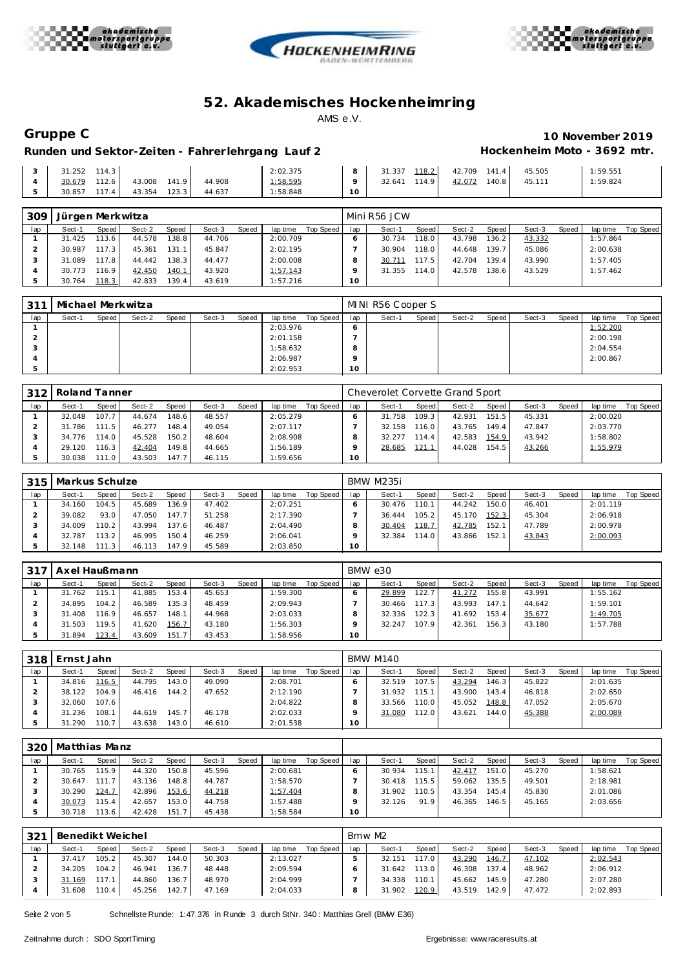





# **Gruppe C 10 November 2019** Runden und Sektor-Zeiten - Fahrer lehrgang Lauf 2 **Hockenheim Moto - 3692 mtr.**

|  | $3 \mid 31.252 \mid 114.3 \mid$  |  |  | 2:02.375 |    | 8 31.337 118.2 42.709 141.4 45.505 |  | 1:59.551 |
|--|----------------------------------|--|--|----------|----|------------------------------------|--|----------|
|  | 30.679 112.6 43.008 141.9 44.908 |  |  | 1:58.595 |    | 32.641 114.9 42.072 140.8 45.111   |  | 1:59.824 |
|  | 30.857 117.4 43.354 123.3 44.637 |  |  | 1:58.848 | 10 |                                    |  |          |

| 309 | Jürgen Merkwitza |        |        |              |        |       |          |           |     | Mini R56 JCW |       |        |                    |        |       |          |           |
|-----|------------------|--------|--------|--------------|--------|-------|----------|-----------|-----|--------------|-------|--------|--------------------|--------|-------|----------|-----------|
| lap | Sect-1           | Speed  | Sect-2 | <b>Speed</b> | Sect-3 | Speed | lap time | Top Speed | lap | Sect-1       | Speed | Sect-2 | Speed              | Sect-3 | Speed | lap time | Top Speed |
|     | 31.425           | 113.6  | 44.578 | 138.8        | 44.706 |       | 2:00.709 |           |     | 30.734       | 118.0 | 43.798 | 136.2              | 43.332 |       | 1:57.864 |           |
|     | 30.987           | 117.3  | 45.361 | 131.1        | 45.847 |       | 2:02.195 |           |     | 30.904       | 118.0 | 44.648 | 139.7              | 45.086 |       | 2:00.638 |           |
|     | 31.089           | 117.8  | 44.442 | 138.3        | 44.477 |       | 2:00.008 |           |     | 30.711       | 117.5 | 42.704 | 139.4.             | 43.990 |       | 1:57.405 |           |
|     | 30.773           | 116.91 | 42.450 | 140.1        | 43.920 |       | 1:57.143 |           |     | 31.355       | 114.0 | 42.578 | 138.6 <sub>1</sub> | 43.529 |       | 1:57.462 |           |
|     | 30.764           | 118.3  | 42.833 | 139.4        | 43.619 |       | 1:57.216 |           | 10  |              |       |        |                    |        |       |          |           |

| 311 | Michael Merkwitza |       |        |       |        |       |          |           |     | MINI R56 Cooper S |       |        |       |        |       |          |           |
|-----|-------------------|-------|--------|-------|--------|-------|----------|-----------|-----|-------------------|-------|--------|-------|--------|-------|----------|-----------|
| lap | Sect-1            | Speed | Sect-2 | Speed | Sect-3 | Speed | lap time | Top Speed | lap | Sect-1            | Speed | Sect-2 | Speed | Sect-3 | Speed | lap time | Top Speed |
|     |                   |       |        |       |        |       | 2:03.976 |           |     |                   |       |        |       |        |       | 1:52.200 |           |
|     |                   |       |        |       |        |       | 2:01.158 |           |     |                   |       |        |       |        |       | 2:00.198 |           |
|     |                   |       |        |       |        |       | 1:58.632 |           |     |                   |       |        |       |        |       | 2:04.554 |           |
|     |                   |       |        |       |        |       | 2:06.987 |           |     |                   |       |        |       |        |       | 2:00.867 |           |
|     |                   |       |        |       |        |       | 2:02.953 |           | 10  |                   |       |        |       |        |       |          |           |

| 312 | Roland Tanner |       |        |                    |        |       |          |           |     | Cheverolet Corvette Grand Sport |              |        |       |        |       |          |           |
|-----|---------------|-------|--------|--------------------|--------|-------|----------|-----------|-----|---------------------------------|--------------|--------|-------|--------|-------|----------|-----------|
| lap | Sect-1        | Speed | Sect-2 | Speed              | Sect-3 | Speed | lap time | Top Speed | lap | Sect-1                          | <b>Speed</b> | Sect-2 | Speed | Sect-3 | Speed | lap time | Top Speed |
|     | 32.048        | 107.7 | 44.674 | 148.6              | 48.557 |       | 2:05.279 |           |     | 31.758                          | 109.3        | 42.931 | 151.5 | 45.331 |       | 2:00.020 |           |
|     | 31.786        | 111.5 | 46.277 | 148.4              | 49.054 |       | 2:07.117 |           |     | 32.158                          | 116.0        | 43.765 | 149.4 | 47.847 |       | 2:03.770 |           |
|     | 34.776        | 114.0 | 45.528 | 150.2              | 48.604 |       | 2:08.908 |           |     | 32.277                          | 114.4        | 42.583 | 154.9 | 43.942 |       | 1:58.802 |           |
|     | 29.120        | 116.3 | 42.404 | 149.8 <sub>1</sub> | 44.665 |       | 1:56.189 |           |     | 28.685                          | 121.1        | 44.028 | 154.5 | 43.266 |       | 1:55.979 |           |
|     | 30.038        | 111.0 | 43.503 | 147.7              | 46.115 |       | 1:59.656 |           | 10  |                                 |              |        |       |        |       |          |           |

|     | 315   Markus Schulze |         |        |       |        |       |          |           |     | <b>BMW M235i</b> |        |        |       |        |       |          |           |
|-----|----------------------|---------|--------|-------|--------|-------|----------|-----------|-----|------------------|--------|--------|-------|--------|-------|----------|-----------|
| lap | Sect-1               | Speed   | Sect-2 | Speed | Sect-3 | Speed | lap time | Top Speed | lap | Sect-1           | Speed  | Sect-2 | Speed | Sect-3 | Speed | lap time | Top Speed |
|     | 34.160               | 104.5   | 45.689 | 136.9 | 47.402 |       | 2:07.251 |           |     | 30.476           | 110.1  | 44.242 | 150.0 | 46.401 |       | 2:01.119 |           |
|     | 39.082               | 93.0    | 47.050 | 147.7 | 51.258 |       | 2:17.390 |           |     | 36.444           | 105.21 | 45.170 | 152.3 | 45.304 |       | 2:06.918 |           |
|     | 34.009               | 110.2 l | 43.994 | 137.6 | 46.487 |       | 2:04.490 |           |     | 30.404           | 118.7  | 42.785 | 152.1 | 47.789 |       | 2:00.978 |           |
|     | 32.787               | 113.2   | 46.995 | 150.4 | 46.259 |       | 2:06.041 |           |     | 32.384           | 114.0  | 43.866 | 152.1 | 43.843 |       | 2:00.093 |           |
|     | 32.148               | 111.3   | 46.113 | 147.9 | 45.589 |       | 2:03.850 |           | 10  |                  |        |        |       |        |       |          |           |

| 317 | Axel Haußmann |       |        |       |        |       |          |           |     | BMW e30 |           |        |       |        |       |          |           |
|-----|---------------|-------|--------|-------|--------|-------|----------|-----------|-----|---------|-----------|--------|-------|--------|-------|----------|-----------|
| lap | Sect-1        | Speed | Sect-2 | Speed | Sect-3 | Speed | lap time | Top Speed | lap | Sect-1  | Speed     | Sect-2 | Speed | Sect-3 | Speed | lap time | Top Speed |
|     | 31.762        | 115.1 | 41.885 | 153.4 | 45.653 |       | 1:59.300 |           |     | 29.899  | 122.7     | 41.272 | 155.8 | 43.991 |       | 1:55.162 |           |
|     | 34.895        | 104.2 | 46.589 | 135.3 | 48.459 |       | 2:09.943 |           |     | 30.466  | $117.3$ l | 43.993 | 147.1 | 44.642 |       | 1:59.101 |           |
|     | 31.408        | 116.9 | 46.657 | 148.1 | 44.968 |       | 2:03.033 |           |     | 32.336  | 122.3     | 41.692 | 153.4 | 35.677 |       | 1:49.705 |           |
|     | 31.503        | 119.5 | 41.620 | 156.7 | 43.180 |       | 1:56.303 |           |     | 32.247  | 107.9     | 42.361 | 156.3 | 43.180 |       | 1:57.788 |           |
|     | 31.894        | 123.4 | 43.609 | 151.7 | 43.453 |       | 1:58.956 |           | 10  |         |           |        |       |        |       |          |           |

|     | 318 Ernst Jahn |         |        |                    |        |       |          |           |     | BMW M140 |       |        |       |        |       |          |           |
|-----|----------------|---------|--------|--------------------|--------|-------|----------|-----------|-----|----------|-------|--------|-------|--------|-------|----------|-----------|
| lap | Sect-1         | Speed I | Sect-2 | Speed              | Sect-3 | Speed | lap time | Top Speed | lap | Sect-1   | Speed | Sect-2 | Speed | Sect-3 | Speed | lap time | Top Speed |
|     | 34.816         | 116.5   | 44.795 | 143.01             | 49.090 |       | 2:08.701 |           |     | 32.519   | 107.5 | 43.294 | 146.3 | 45.822 |       | 2:01.635 |           |
|     | 38.122         | 104.9   | 46.416 | 144.2 <sub>1</sub> | 47.652 |       | 2:12.190 |           |     | 31.932   | 115.1 | 43.900 | 143.4 | 46.818 |       | 2:02.650 |           |
|     | 32.060         | 107.6   |        |                    |        |       | 2:04.822 |           |     | 33.566   | 110.0 | 45.052 | 148.8 | 47.052 |       | 2:05.670 |           |
|     | 31.236         | 108.1   | 44.619 | 145.7              | 46.178 |       | 2:02.033 |           |     | 31.080   | 112.0 | 43.621 | 144.0 | 45.388 |       | 2:00.089 |           |
|     | 31.290         | 110.7   | 43.638 | 143.01             | 46.610 |       | 2:01.538 |           | 10  |          |       |        |       |        |       |          |           |

| 320 | Matthias Manz |                    |        |              |        |              |          |           |     |        |       |        |       |        |       |          |           |
|-----|---------------|--------------------|--------|--------------|--------|--------------|----------|-----------|-----|--------|-------|--------|-------|--------|-------|----------|-----------|
| lap | Sect-1        | Speed              | Sect-2 | <b>Speed</b> | Sect-3 | <b>Speed</b> | lap time | Top Speed | lap | Sect-1 | Speed | Sect-2 | Speed | Sect-3 | Speed | lap time | Top Speed |
|     | 30.765        | 115.9 <sub>1</sub> | 44.320 | 150.8        | 45.596 |              | 2:00.681 |           |     | 30.934 | 115.  | 42.417 | 151.0 | 45.270 |       | 1:58.621 |           |
|     | 30.647        | 111.7 <sub>1</sub> | 43.136 | 148.8        | 44.787 |              | 1:58.570 |           |     | 30.418 | 115.5 | 59.062 | 135.5 | 49.501 |       | 2:18.981 |           |
|     | 30.290        | 124.7              | 42.896 | 153.6        | 44.218 |              | 1:57.404 |           |     | 31.902 | 110.5 | 43.354 | 145.4 | 45.830 |       | 2:01.086 |           |
|     | 30.073        | 115.4              | 42.657 | 153.0        | 44.758 |              | 1:57.488 |           |     | 32.126 | 91.9  | 46.365 | 146.5 | 45.165 |       | 2:03.656 |           |
|     | 30.718        | 13.6               | 42.428 | 151.7        | 45.438 |              | 1:58.584 |           | 10  |        |       |        |       |        |       |          |           |

| 321 | Benedikt Weichel |                    |        |       |        |       |          |           | Bmw M2 |        |       |        |       |        |       |          |           |
|-----|------------------|--------------------|--------|-------|--------|-------|----------|-----------|--------|--------|-------|--------|-------|--------|-------|----------|-----------|
| lap | Sect-1           | Speed              | Sect-2 | Speed | Sect-3 | Speed | lap time | Top Speed | lap    | Sect-1 | Speed | Sect-2 | Speed | Sect-3 | Speed | lap time | Top Speed |
|     | 37.417           | 105.2 <sub>1</sub> | 45.307 | 144.0 | 50.303 |       | 2:13.027 |           |        | 32.151 | 117.0 | 43.290 | 146.7 | 47.102 |       | 2:02.543 |           |
|     | 34.205           | 104.2              | 46.941 | 136.7 | 48.448 |       | 2:09.594 |           |        | 31.642 | 113.0 | 46.308 | 137.4 | 48.962 |       | 2:06.912 |           |
|     | 31.169           | 117.1              | 44.860 | 136.7 | 48.970 |       | 2:04.999 |           |        | 34.338 | 110.1 | 45.662 | 145.9 | 47.280 |       | 2:07.280 |           |
|     | 31.608           | 110.4              | 45.256 | 142.7 | 47.169 |       | 2:04.033 |           |        | 31.902 | 120.9 | 43.519 | 142.9 | 47.472 |       | 2:02.893 |           |

Seite 2 von 5 Schnellste Runde: 1:47.376 in Runde 3 durch StNr. 340 : Matthias Grell (BMW E36)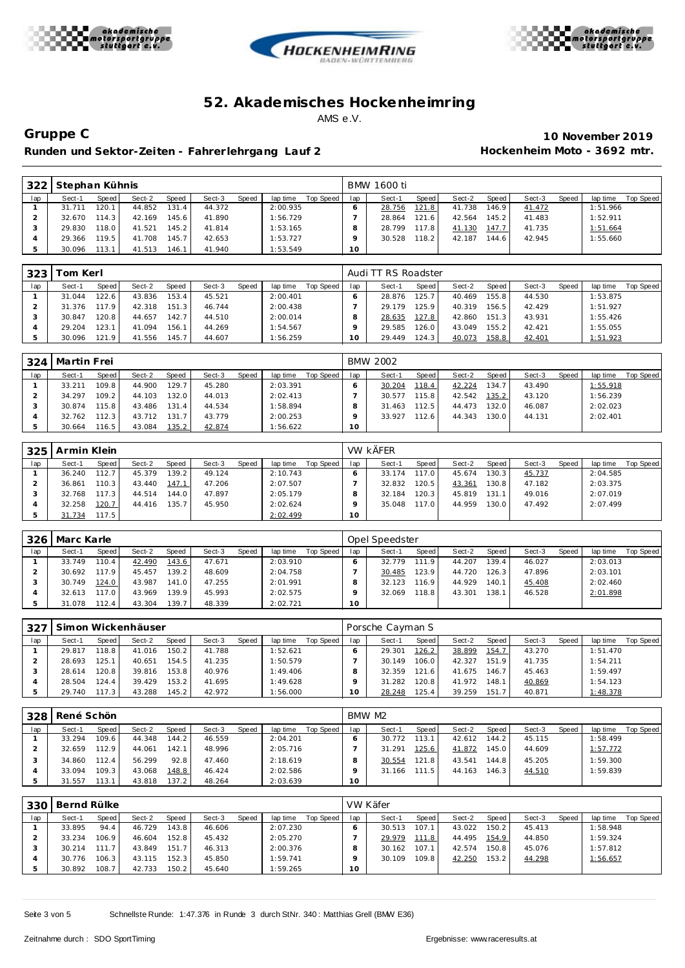





Runden und Sektor-Zeiten - Fahrer lehrgang Lauf 2 **Hockenheim Moto - 3692 mtr.** 

**Gruppe C 10 November 2019**

| 322 | Stephan Kühnis |       |        |       |        |       |          |           |     | BMW 1600 ti |       |        |       |        |       |          |           |
|-----|----------------|-------|--------|-------|--------|-------|----------|-----------|-----|-------------|-------|--------|-------|--------|-------|----------|-----------|
| lap | Sect-1         | Speed | Sect-2 | Speed | Sect-3 | Speed | lap time | Top Speed | lap | Sect-1      | Speed | Sect-2 | Speed | Sect-3 | Speed | lap time | Top Speed |
|     | 31.711         | 120.1 | 44.852 | 131.4 | 44.372 |       | 2:00.935 |           |     | 28.756      | 121.8 | 41.738 | 146.9 | 41.472 |       | 1:51.966 |           |
|     | 32.670         | 114.3 | 42.169 | 145.6 | 41.890 |       | 1:56.729 |           |     | 28.864      | 121.6 | 42.564 | 145.2 | 41.483 |       | 1:52.911 |           |
|     | 29.830         | 118.0 | 41.521 | 145.2 | 41.814 |       | 1:53.165 |           |     | 28.799      | 117.8 | 41.130 | 147.7 | 41.735 |       | 1:51.664 |           |
|     | 29.366         | 119.5 | 41.708 | 145.7 | 42.653 |       | 1:53.727 |           |     | 30.528      | 118.2 | 42.187 | 144.6 | 42.945 |       | 1:55.660 |           |
|     | 30.096         | 113.1 | 41.513 | 146.1 | 41.940 |       | 1:53.549 |           | 10  |             |       |        |       |        |       |          |           |

| 323 | ⊺om Kerl |                    |        |              |        |       |          |           |     | Audi TT RS Roadster |                    |        |       |        |       |          |           |
|-----|----------|--------------------|--------|--------------|--------|-------|----------|-----------|-----|---------------------|--------------------|--------|-------|--------|-------|----------|-----------|
| lap | Sect-1   | Speed              | Sect-2 | <b>Speed</b> | Sect-3 | Speed | lap time | Top Speed | lap | Sect-1              | Speed              | Sect-2 | Speed | Sect-3 | Speed | lap time | Top Speed |
|     | 31.044   | 122.6 <sub>1</sub> | 43.836 | 153.4        | 45.521 |       | 2:00.401 |           |     | 28.876              | 125.7              | 40.469 | 155.8 | 44.530 |       | 1:53.875 |           |
|     | 31.376   | 17.9               | 42.318 | 151.3        | 46.744 |       | 2:00.438 |           |     | 29.179              | 125.9 <sub>1</sub> | 40.319 | 156.5 | 42.429 |       | 1:51.927 |           |
|     | 30.847   | 120.8              | 44.657 | 142.7        | 44.510 |       | 2:00.014 |           |     | 28.635              | 127.8              | 42.860 | 151.3 | 43.931 |       | 1:55.426 |           |
|     | 29.204   | 123.1              | 41.094 | 156.1        | 44.269 |       | 1:54.567 |           |     | 29.585              | 126.0              | 43.049 | 155.2 | 42.421 |       | 1:55.055 |           |
|     | 30.096   | 121.9              | 41.556 | 145.7        | 44.607 |       | 1:56.259 |           | 10  | 29.449              | 124.31             | 40.073 | 158.8 | 42.401 |       | 1:51.923 |           |

| 324 | Martin Frei |         |        |       |        |       |          |           |     | <b>BMW 2002</b> |       |        |       |        |       |          |           |
|-----|-------------|---------|--------|-------|--------|-------|----------|-----------|-----|-----------------|-------|--------|-------|--------|-------|----------|-----------|
| lap | Sect-1      | Speed   | Sect-2 | Speed | Sect-3 | Speed | lap time | Top Speed | lap | Sect-1          | Speed | Sect-2 | Speed | Sect-3 | Speed | lap time | Top Speed |
|     | 33.211      | 109.8   | 44.900 | 129.7 | 45.280 |       | 2:03.391 |           |     | 30.204          | 118.4 | 42.224 | 134.7 | 43.490 |       | 1:55.918 |           |
|     | 34.297      | 109.2   | 44.103 | 132.0 | 44.013 |       | 2:02.413 |           |     | 30.577          | 115.8 | 42.542 | 135.2 | 43.120 |       | 1:56.239 |           |
|     | 30.874      | 115.8   | 43.486 | 131.4 | 44.534 |       | 1:58.894 |           |     | 31.463          | 112.5 | 44.473 | 132.0 | 46.087 |       | 2:02.023 |           |
|     | 32.762      | 112.3   | 43.712 | 131.7 | 43.779 |       | 2:00.253 |           |     | 33.927          | 112.6 | 44.343 | 130.0 | 44.131 |       | 2:02.401 |           |
|     | 30.664      | 116.5 l | 43.084 | 135.2 | 42.874 |       | 1:56.622 |           | 10  |                 |       |        |       |        |       |          |           |

| 325 | Armin Klein |       |        |       |        |       |          |           |     | <b>VW KÄFER</b> |       |        |                    |        |       |          |           |
|-----|-------------|-------|--------|-------|--------|-------|----------|-----------|-----|-----------------|-------|--------|--------------------|--------|-------|----------|-----------|
| lap | Sect-1      | Speed | Sect-2 | Speed | Sect-3 | Speed | lap time | Top Speed | lap | Sect-1          | Speed | Sect-2 | Speed              | Sect-3 | Speed | lap time | Top Speed |
|     | 36.240      | 112.7 | 45.379 | 139.2 | 49.124 |       | 2:10.743 |           |     | 33.174          | 117.0 | 45.674 | 130.3              | 45.737 |       | 2:04.585 |           |
|     | 36.861      | 110.3 | 43.440 | 147.1 | 47.206 |       | 2:07.507 |           |     | 32.832          | 120.5 | 43.361 | 130.8              | 47.182 |       | 2:03.375 |           |
|     | 32.768      | 117.3 | 44.514 | 144.0 | 47.897 |       | 2:05.179 |           |     | 32.184          | 120.3 | 45.819 | 131.1 <sub>1</sub> | 49.016 |       | 2:07.019 |           |
|     | 32.258      | 120.7 | 44.416 | 135.7 | 45.950 |       | 2:02.624 |           |     | 35.048          | 117.0 | 44.959 | 130.0              | 47.492 |       | 2:07.499 |           |
|     | 31.734      | 117.5 |        |       |        |       | 2:02.499 |           | 10  |                 |       |        |                    |        |       |          |           |

| 326 | Marc Karle |         |        |              |        |              |          |           |     | Opel Speedster |       |        |        |        |       |          |           |
|-----|------------|---------|--------|--------------|--------|--------------|----------|-----------|-----|----------------|-------|--------|--------|--------|-------|----------|-----------|
| lap | Sect-1     | Speed I | Sect-2 | <b>Speed</b> | Sect-3 | <b>Speed</b> | lap time | Top Speed | lap | Sect-1         | Speed | Sect-2 | Speed  | Sect-3 | Speed | lap time | Top Speed |
|     | 33.749     | 110.4   | 42.490 | 143.6        | 47.671 |              | 2:03.910 |           |     | 32.779         | 111.9 | 44.207 | 139.4  | 46.027 |       | 2:03.013 |           |
|     | 30.692     | 17.9    | 45.457 | 139.2        | 48.609 |              | 2:04.758 |           |     | 30.485         | 123.9 | 44.720 | 126.31 | 47.896 |       | 2:03.101 |           |
|     | 30.749     | 124.0   | 43.987 | 141.01       | 47.255 |              | 2:01.991 |           |     | 32.123         | 116.9 | 44.929 | 140.1  | 45.408 |       | 2:02.460 |           |
|     | 32.613     | 17.0    | 43.969 | 139.9        | 45.993 |              | 2:02.575 |           |     | 32.069         | 118.8 | 43.301 | 138.1  | 46.528 |       | 2:01.898 |           |
|     | 31.078     | 112.4   | 43.304 | 139.7        | 48.339 |              | 2:02.721 |           | 10  |                |       |        |        |        |       |          |           |

| 327 |        |       | Simon Wickenhäuser |              |        |              |          |           |     | Porsche Cayman S |       |        |                    |        |              |          |           |
|-----|--------|-------|--------------------|--------------|--------|--------------|----------|-----------|-----|------------------|-------|--------|--------------------|--------|--------------|----------|-----------|
| lap | Sect-1 | Speed | Sect-2             | <b>Speed</b> | Sect-3 | <b>Speed</b> | lap time | Top Speed | lap | Sect-1           | Speed | Sect-2 | Speed              | Sect-3 | <b>Speed</b> | lap time | Top Speed |
|     | 29.817 | 118.8 | 41.016             | 150.2        | 41.788 |              | 1:52.621 |           |     | 29.301           | 126.2 | 38.899 | 154.7              | 43.270 |              | 1:51.470 |           |
|     | 28.693 | 125.1 | 40.651             | 154.5        | 41.235 |              | 1:50.579 |           |     | 30.149           | 106.0 | 42.327 | 151.9              | 41.735 |              | 1:54.211 |           |
|     | 28.614 | 120.8 | 39.816             | 153.8        | 40.976 |              | 1:49.406 |           |     | 32.359           | 121.6 | 41.675 | 146.71             | 45.463 |              | 1:59.497 |           |
|     | 28.504 | 124.4 | 39.429             | 153.2        | 41.695 |              | 1:49.628 |           |     | 31.282           | 120.8 | 41.972 | 148.1              | 40.869 |              | 1:54.123 |           |
|     | 29.740 | 117.3 | 43.288             | 145.2        | 42.972 |              | 1:56.000 |           | 10  | 28.248           | 125.4 | 39.259 | 151.7 <sub>1</sub> | 40.871 |              | 1:48.378 |           |

| 328 | René Schön |       |        |                    |        |       |          |           |                 | BMW M2 |       |        |                    |        |       |          |           |
|-----|------------|-------|--------|--------------------|--------|-------|----------|-----------|-----------------|--------|-------|--------|--------------------|--------|-------|----------|-----------|
| lap | Sect-1     | Speed | Sect-2 | <b>Speed</b>       | Sect-3 | Speed | lap time | Top Speed | lap             | Sect-1 | Speed | Sect-2 | Speed              | Sect-3 | Speed | lap time | Top Speed |
|     | 33.294     | 109.6 | 44.348 | 144.2              | 46.559 |       | 2:04.201 |           |                 | 30.772 | 113.1 | 42.612 | 144.2              | 45.115 |       | 1:58.499 |           |
|     | 32.659     | 112.9 | 44.061 | 142.1              | 48.996 |       | 2:05.716 |           |                 | 31.291 | 125.6 | 41.872 | 145.0              | 44.609 |       | 1:57.772 |           |
|     | 34.860     | 112.4 | 56.299 | 92.8               | 47.460 |       | 2:18.619 |           |                 | 30.554 | 121.8 | 43.541 | 144.8              | 45.205 |       | 1:59.300 |           |
|     | 33.094     | 109.3 | 43.068 | 148.8              | 46.424 |       | 2:02.586 |           |                 | 31.166 | 111.5 | 44.163 | 146.3 <sub>1</sub> | 44.510 |       | 1:59.839 |           |
|     | 31.557     | 113.  | 43.818 | 137.2 <sub>1</sub> | 48.264 |       | 2:03.639 |           | 10 <sup>°</sup> |        |       |        |                    |        |       |          |           |

| 330 | Bernd Rülke |       |        |       |        |       |          |           |                 | VW Käfer |       |        |       |        |       |          |           |
|-----|-------------|-------|--------|-------|--------|-------|----------|-----------|-----------------|----------|-------|--------|-------|--------|-------|----------|-----------|
| lap | Sect-1      | Speed | Sect-2 | Speed | Sect-3 | Speed | lap time | Top Speed | lap             | Sect-1   | Speed | Sect-2 | Speed | Sect-3 | Speed | lap time | Top Speed |
|     | 33.895      | 94.4  | 46.729 | 143.8 | 46.606 |       | 2:07.230 |           |                 | 30.513   | 107.1 | 43.022 | 150.2 | 45.413 |       | 1:58.948 |           |
|     | 33.234      | 106.9 | 46.604 | 152.8 | 45.432 |       | 2:05.270 |           |                 | 29.979   | 111.8 | 44.495 | 154.9 | 44.850 |       | 1:59.324 |           |
|     | 30.214      | 111.7 | 43.849 | 151.7 | 46.313 |       | 2:00.376 |           |                 | 30.162   | 107.1 | 42.574 | 150.8 | 45.076 |       | 1:57.812 |           |
|     | 30.776      | 106.3 | 43.115 | 152.3 | 45.850 |       | 1:59.741 |           |                 | 30.109   | 109.8 | 42.250 | 153.2 | 44.298 |       | 1:56.657 |           |
|     | 30.892      | 108.7 | 42.733 | 150.2 | 45.640 |       | 1:59.265 |           | 10 <sup>°</sup> |          |       |        |       |        |       |          |           |

Seite 3 von 5 Schnellste Runde: 1:47.376 in Runde 3 durch StNr. 340: Matthias Grell (BMW E36)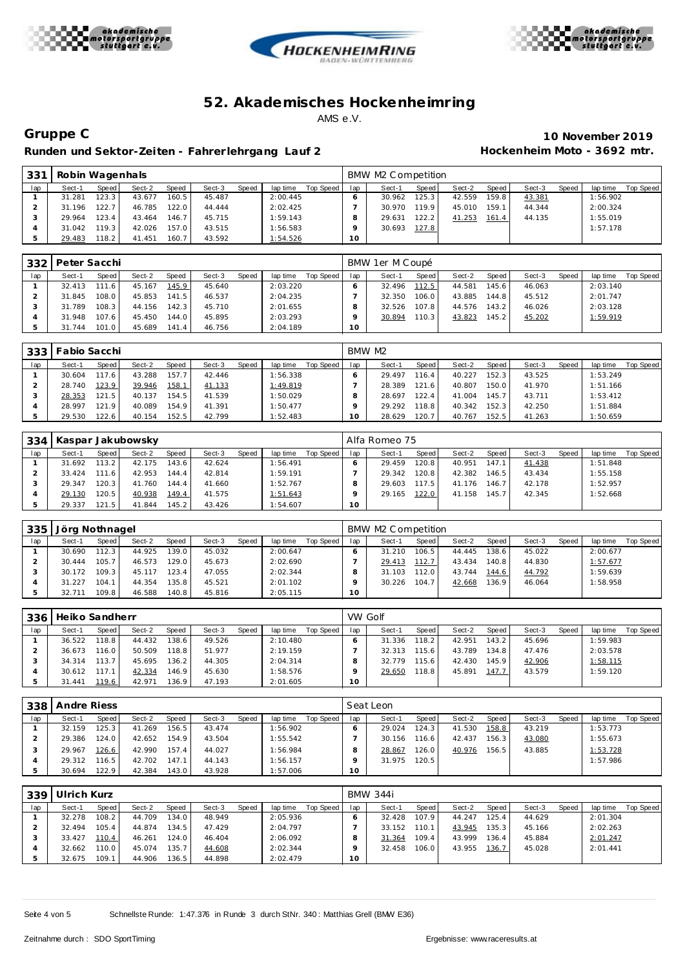





Runden und Sektor-Zeiten - Fahrer lehrgang Lauf 2 **Hockenheim Moto - 3692 mtr.** 

**Gruppe C 10 November 2019**

| 33 <sup>1</sup> | Robin Wagenhals |       |        |       |        |       |          |           |                 | BMW M2 Competition |       |        |         |        |       |          |           |
|-----------------|-----------------|-------|--------|-------|--------|-------|----------|-----------|-----------------|--------------------|-------|--------|---------|--------|-------|----------|-----------|
| lap             | Sect-1          | Speed | Sect-2 | Speed | Sect-3 | Speed | lap time | Top Speed | lap             | Sect-1             | Speed | Sect-2 | Speed I | Sect-3 | Speed | lap time | Top Speed |
|                 | 31.281          | 123.3 | 43.677 | 160.5 | 45.487 |       | 2:00.445 |           |                 | 30.962             | 125.3 | 42.559 | 159.8   | 43.381 |       | 1:56.902 |           |
|                 | 31.196          | 122.7 | 46.785 | 122.0 | 44.444 |       | 2:02.425 |           |                 | 30.970             | 119.9 | 45.010 | 159.1   | 44.344 |       | 2:00.324 |           |
|                 | 29.964          | 123.4 | 43.464 | 146.7 | 45.715 |       | 1:59.143 |           |                 | 29.631             | 122.2 | 41.253 | 161.4   | 44.135 |       | 1:55.019 |           |
|                 | 31.042          | 119.3 | 42.026 | 157.0 | 43.515 |       | 1:56.583 |           |                 | 30.693             | 127.8 |        |         |        |       | 1:57.178 |           |
|                 | 29.483          | 118.2 | 41.451 | 160.7 | 43.592 |       | 1:54.526 |           | 10 <sup>°</sup> |                    |       |        |         |        |       |          |           |

|     | 332   Peter Sacchi |       |        |       |        |       |          |           |     | BMW 1er M Coupé |       |        |        |        |       |          |           |
|-----|--------------------|-------|--------|-------|--------|-------|----------|-----------|-----|-----------------|-------|--------|--------|--------|-------|----------|-----------|
| lap | Sect-1             | Speed | Sect-2 | Speed | Sect-3 | Speed | lap time | Top Speed | lap | Sect-1          | Speed | Sect-2 | Speed  | Sect-3 | Speed | lap time | Top Speed |
|     | 32.413             | 111.6 | 45.167 | 145.9 | 45.640 |       | 2:03.220 |           |     | 32.496          | 112.5 | 44.581 | 145.61 | 46.063 |       | 2:03.140 |           |
|     | 31.845             | 108.0 | 45.853 | 141.5 | 46.537 |       | 2:04.235 |           |     | 32.350          | 106.0 | 43.885 | 144.8  | 45.512 |       | 2:01.747 |           |
|     | 31.789             | 108.3 | 44.156 | 142.3 | 45.710 |       | 2:01.655 |           |     | 32.526          | 107.8 | 44.576 | 143.2  | 46.026 |       | 2:03.128 |           |
|     | 31.948             | 107.6 | 45.450 | 144.0 | 45.895 |       | 2:03.293 |           |     | 30.894          | 110.3 | 43.823 | 145.2  | 45.202 |       | 1:59.919 |           |
|     | 31.744             | 101.0 | 45.689 | 141.4 | 46.756 |       | 2:04.189 |           | 10  |                 |       |        |        |        |       |          |           |

|     | 333   Fabio Sacchi |       |        |       |        |       |          |           |     | BMW M2 |       |        |       |        |       |          |           |
|-----|--------------------|-------|--------|-------|--------|-------|----------|-----------|-----|--------|-------|--------|-------|--------|-------|----------|-----------|
| lap | Sect-1             | Speed | Sect-2 | Speed | Sect-3 | Speed | lap time | Top Speed | lap | Sect-1 | Speed | Sect-2 | Speed | Sect-3 | Speed | lap time | Top Speed |
|     | 30.604             | 17.6  | 43.288 | 157.7 | 42.446 |       | 1:56.338 |           |     | 29.497 | 116.4 | 40.227 | 152.3 | 43.525 |       | 1:53.249 |           |
|     | 28.740             | 123.9 | 39.946 | 158.1 | 41.133 |       | 1:49.819 |           |     | 28.389 | 121.6 | 40.807 | 150.0 | 41.970 |       | 1:51.166 |           |
|     | 28.353             | 121.5 | 40.137 | 154.5 | 41.539 |       | 1:50.029 |           |     | 28.697 | 122.4 | 41.004 | 145.7 | 43.711 |       | 1:53.412 |           |
|     | 28.997             | 121.9 | 40.089 | 154.9 | 41.391 |       | 1:50.477 |           |     | 29.292 | 118.8 | 40.342 | 152.3 | 42.250 |       | 1:51.884 |           |
|     | 29.530             | 122.6 | 40.154 | 152.5 | 42.799 |       | 1:52.483 |           | 10  | 28.629 | 120.7 | 40.767 | 152.5 | 41.263 |       | 1:50.659 |           |

| 334 |        |       | Kaspar Jakubowsky |        |        |       |          |           |     | Alfa Romeo 75 |       |        |       |        |       |          |           |
|-----|--------|-------|-------------------|--------|--------|-------|----------|-----------|-----|---------------|-------|--------|-------|--------|-------|----------|-----------|
| lap | Sect-1 | Speed | Sect-2            | Speed  | Sect-3 | Speed | lap time | Top Speed | lap | Sect-1        | Speed | Sect-2 | Speed | Sect-3 | Speed | lap time | Top Speed |
|     | 31.692 | 113.2 | 42.175            | 143.6  | 42.624 |       | 1:56.491 |           |     | 29.459        | 120.8 | 40.951 | 147.1 | 41.438 |       | 1:51.848 |           |
|     | 33.424 | 111.6 | 42.953            | 144.4  | 42.814 |       | 1:59.191 |           |     | 29.342        | 120.8 | 42.382 | 146.5 | 43.434 |       | 1:55.158 |           |
|     | 29.347 | 120.3 | 41.760            | 144.4  | 41.660 |       | 1:52.767 |           |     | 29.603        | 117.5 | 41.176 | 146.7 | 42.178 |       | 1:52.957 |           |
|     | 29.130 | 120.5 | 40.938            | 149.4  | 41.575 |       | 1:51.643 |           |     | 29.165        | 122.0 | 41.158 | 145.7 | 42.345 |       | 1:52.668 |           |
|     | 29.337 | 121.5 | 41.844            | 145.21 | 43.426 |       | 1:54.607 |           | 10  |               |       |        |       |        |       |          |           |

| 335 | Jörg Nothnagel |           |        |              |        |              |          |           |     | BMW M2 Competition |       |        |        |        |       |          |           |
|-----|----------------|-----------|--------|--------------|--------|--------------|----------|-----------|-----|--------------------|-------|--------|--------|--------|-------|----------|-----------|
| lap | Sect-1         | Speed I   | Sect-2 | <b>Speed</b> | Sect-3 | <b>Speed</b> | lap time | Top Speed | lap | Sect-1             | Speed | Sect-2 | Speed  | Sect-3 | Speed | lap time | Top Speed |
|     | 30.690         | $112.3 -$ | 44.925 | 139.0        | 45.032 |              | 2:00.647 |           |     | 31.210             | 106.5 | 44.445 | 138.61 | 45.022 |       | 2:00.677 |           |
|     | 30.444         | 105.7     | 46.573 | 129.0        | 45.673 |              | 2:02.690 |           |     | 29.413             | 112.7 | 43.434 | 140.8  | 44.830 |       | 1:57.677 |           |
|     | 30.172         | 109.3     | 45.117 | 123.4.       | 47.055 |              | 2:02.344 |           |     | 31.103             | 112.0 | 43.744 | 144.6  | 44.792 |       | : 59.639 |           |
|     | 31.227         | 104.1     | 44.354 | 135.8        | 45.521 |              | 2:01.102 |           |     | 30.226             | 104.7 | 42.668 | 136.9  | 46.064 |       | :58.958  |           |
|     | 32.711         | 109.8     | 46.588 | 140.8        | 45.816 |              | 2:05.115 |           | 10  |                    |       |        |        |        |       |          |           |

| 336 | Heiko Sandherr |                    |        |       |        |       |          |           | VW Golf |        |       |        |       |        |       |          |           |
|-----|----------------|--------------------|--------|-------|--------|-------|----------|-----------|---------|--------|-------|--------|-------|--------|-------|----------|-----------|
| lap | Sect-1         | Speed              | Sect-2 | Speed | Sect-3 | Speed | lap time | Top Speed | lap     | Sect-1 | Speed | Sect-2 | Speed | Sect-3 | Speed | lap time | Top Speed |
|     | 36.522         | 118.8              | 44.432 | 138.6 | 49.526 |       | 2:10.480 |           |         | 31.336 | 118.2 | 42.951 | 143.2 | 45.696 |       | 1:59.983 |           |
|     | 36.673         | 116.0              | 50.509 | 118.8 | 51.977 |       | 2:19.159 |           |         | 32.313 | 115.6 | 43.789 | 134.8 | 47.476 |       | 2:03.578 |           |
|     | 34.314         | 113.7 <sub>1</sub> | 45.695 | 136.2 | 44.305 |       | 2:04.314 |           |         | 32.779 | 115.6 | 42.430 | 145.9 | 42.906 |       | 1:58.115 |           |
|     | 30.612         | 117.1              | 42.334 | 146.9 | 45.630 |       | 1:58.576 |           |         | 29.650 | 118.8 | 45.891 | 147.7 | 43.579 |       | 1:59.120 |           |
|     | 31.441         | 119.6              | 42.971 | 136.9 | 47.193 |       | 2:01.605 |           | 10      |        |       |        |       |        |       |          |           |

|     | 338 Andre Riess |       |        |       |        |       |          |           |     | Seat Leon |        |        |       |        |       |          |           |
|-----|-----------------|-------|--------|-------|--------|-------|----------|-----------|-----|-----------|--------|--------|-------|--------|-------|----------|-----------|
| lap | Sect-1          | Speed | Sect-2 | Speed | Sect-3 | Speed | lap time | Top Speed | lap | Sect-1    | Speed  | Sect-2 | Speed | Sect-3 | Speed | lap time | Top Speed |
|     | 32.159          | 125.3 | 41.269 | 156.5 | 43.474 |       | 1:56.902 |           |     | 29.024    | 124.3  | 41.530 | 158.8 | 43.219 |       | 1:53.773 |           |
|     | 29.386          | 124.0 | 42.652 | 154.9 | 43.504 |       | 1:55.542 |           |     | 30.156    | 116.6  | 42.437 | 156.3 | 43.080 |       | 1:55.673 |           |
|     | 29.967          | 126.6 | 42.990 | 157.4 | 44.027 |       | 1:56.984 |           |     | 28.867    | 126.01 | 40.976 | 156.5 | 43.885 |       | 1:53.728 |           |
|     | 29.312          | 116.5 | 42.702 | 147.1 | 44.143 |       | 1:56.157 |           |     | 31.975    | 120.5  |        |       |        |       | 1:57.986 |           |
|     | 30.694          | 122.9 | 42.384 | 143.0 | 43.928 |       | 1:57.006 |           | 10  |           |        |        |       |        |       |          |           |

| 339 | Ulrich Kurz |       |        |              |        |       |          |           |     | <b>BMW 344i</b> |       |        |       |        |       |          |           |
|-----|-------------|-------|--------|--------------|--------|-------|----------|-----------|-----|-----------------|-------|--------|-------|--------|-------|----------|-----------|
| lap | Sect-1      | Speed | Sect-2 | <b>Speed</b> | Sect-3 | Speed | lap time | Top Speed | lap | Sect-1          | Speed | Sect-2 | Speed | Sect-3 | Speed | lap time | Top Speed |
|     | 32.278      | 108.2 | 44.709 | 134.0        | 48.949 |       | 2:05.936 |           |     | 32.428          | 107.9 | 44.247 | 125.4 | 44.629 |       | 2:01.304 |           |
|     | 32.494      | 105.4 | 44.874 | 134.5        | 47.429 |       | 2:04.797 |           |     | 33.152          | 110.1 | 43.945 | 135.3 | 45.166 |       | 2:02.263 |           |
|     | 33.427      | 110.4 | 46.261 | 124.0        | 46.404 |       | 2:06.092 |           |     | 31.364          | 109.4 | 43.999 | 136.4 | 45.884 |       | 2:01.247 |           |
|     | 32.662      | 110.0 | 45.074 | 135.7        | 44.608 |       | 2:02.344 |           |     | 32.458          | 106.0 | 43.955 | 136.7 | 45.028 |       | 2:01.441 |           |
|     | 32.675      | 109.1 | 44.906 | 136.5        | 44.898 |       | 2:02.479 |           | 10  |                 |       |        |       |        |       |          |           |

Seite 4 von 5 Schnellste Runde: 1:47.376 in Runde 3 durch StNr. 340: Matthias Grell (BMW E36)